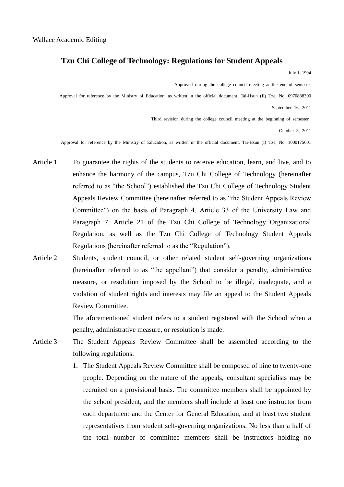## **Tzu Chi College of Technology: Regulations for Student Appeals**

July 1, 1994

Approved during the college council meeting at the end of semester

Approval for reference by the Ministry of Education, as written in the official document, Tai-Hsun (II) Tze, No. 0970888390

September 16, 2011

Third revision during the college council meeting at the beginning of semester

October 3, 2011

Approval for reference by the Ministry of Education, as written in the official document, Tai-Hsun (I) Tze, No. 1000175601

- Article 1 To guarantee the rights of the students to receive education, learn, and live, and to enhance the harmony of the campus, Tzu Chi College of Technology (hereinafter referred to as "the School") established the Tzu Chi College of Technology Student Appeals Review Committee (hereinafter referred to as "the Student Appeals Review Committee") on the basis of Paragraph 4, Article 33 of the University Law and Paragraph 7, Article 21 of the Tzu Chi College of Technology Organizational Regulation, as well as the Tzu Chi College of Technology Student Appeals Regulations (hereinafter referred to as the "Regulation").
- Article 2 Students, student council, or other related student self-governing organizations (hereinafter referred to as "the appellant") that consider a penalty, administrative measure, or resolution imposed by the School to be illegal, inadequate, and a violation of student rights and interests may file an appeal to the Student Appeals Review Committee.

The aforementioned student refers to a student registered with the School when a penalty, administrative measure, or resolution is made.

- Article 3 The Student Appeals Review Committee shall be assembled according to the following regulations:
	- 1. The Student Appeals Review Committee shall be composed of nine to twenty-one people. Depending on the nature of the appeals, consultant specialists may be recruited on a provisional basis. The committee members shall be appointed by the school president, and the members shall include at least one instructor from each department and the Center for General Education, and at least two student representatives from student self-governing organizations. No less than a half of the total number of committee members shall be instructors holding no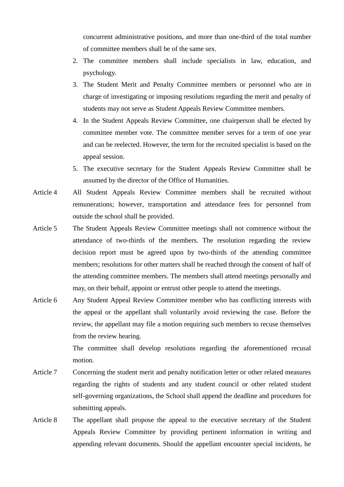concurrent administrative positions, and more than one-third of the total number of committee members shall be of the same sex.

- 2. The committee members shall include specialists in law, education, and psychology.
- 3. The Student Merit and Penalty Committee members or personnel who are in charge of investigating or imposing resolutions regarding the merit and penalty of students may not serve as Student Appeals Review Committee members.
- 4. In the Student Appeals Review Committee, one chairperson shall be elected by committee member vote. The committee member serves for a term of one year and can be reelected. However, the term for the recruited specialist is based on the appeal session.
- 5. The executive secretary for the Student Appeals Review Committee shall be assumed by the director of the Office of Humanities.
- Article 4 All Student Appeals Review Committee members shall be recruited without remunerations; however, transportation and attendance fees for personnel from outside the school shall be provided.
- Article 5 The Student Appeals Review Committee meetings shall not commence without the attendance of two-thirds of the members. The resolution regarding the review decision report must be agreed upon by two-thirds of the attending committee members; resolutions for other matters shall be reached through the consent of half of the attending committee members. The members shall attend meetings personally and may, on their behalf, appoint or entrust other people to attend the meetings.
- Article 6 Any Student Appeal Review Committee member who has conflicting interests with the appeal or the appellant shall voluntarily avoid reviewing the case. Before the review, the appellant may file a motion requiring such members to recuse themselves from the review hearing.

The committee shall develop resolutions regarding the aforementioned recusal motion.

- Article 7 Concerning the student merit and penalty notification letter or other related measures regarding the rights of students and any student council or other related student self-governing organizations, the School shall append the deadline and procedures for submitting appeals.
- Article 8 The appellant shall propose the appeal to the executive secretary of the Student Appeals Review Committee by providing pertinent information in writing and appending relevant documents. Should the appellant encounter special incidents, he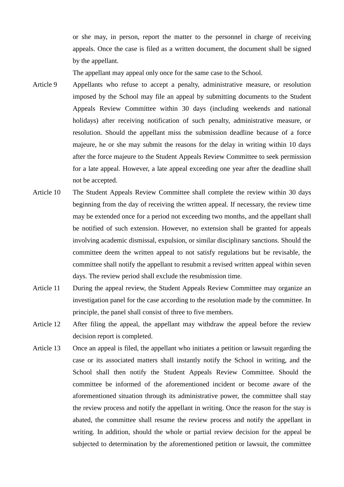or she may, in person, report the matter to the personnel in charge of receiving appeals. Once the case is filed as a written document, the document shall be signed by the appellant.

The appellant may appeal only once for the same case to the School.

- Article 9 Appellants who refuse to accept a penalty, administrative measure, or resolution imposed by the School may file an appeal by submitting documents to the Student Appeals Review Committee within 30 days (including weekends and national holidays) after receiving notification of such penalty, administrative measure, or resolution. Should the appellant miss the submission deadline because of a force majeure, he or she may submit the reasons for the delay in writing within 10 days after the force majeure to the Student Appeals Review Committee to seek permission for a late appeal. However, a late appeal exceeding one year after the deadline shall not be accepted.
- Article 10 The Student Appeals Review Committee shall complete the review within 30 days beginning from the day of receiving the written appeal. If necessary, the review time may be extended once for a period not exceeding two months, and the appellant shall be notified of such extension. However, no extension shall be granted for appeals involving academic dismissal, expulsion, or similar disciplinary sanctions. Should the committee deem the written appeal to not satisfy regulations but be revisable, the committee shall notify the appellant to resubmit a revised written appeal within seven days. The review period shall exclude the resubmission time.
- Article 11 During the appeal review, the Student Appeals Review Committee may organize an investigation panel for the case according to the resolution made by the committee. In principle, the panel shall consist of three to five members.
- Article 12 After filing the appeal, the appellant may withdraw the appeal before the review decision report is completed.
- Article 13 Once an appeal is filed, the appellant who initiates a petition or lawsuit regarding the case or its associated matters shall instantly notify the School in writing, and the School shall then notify the Student Appeals Review Committee. Should the committee be informed of the aforementioned incident or become aware of the aforementioned situation through its administrative power, the committee shall stay the review process and notify the appellant in writing. Once the reason for the stay is abated, the committee shall resume the review process and notify the appellant in writing. In addition, should the whole or partial review decision for the appeal be subjected to determination by the aforementioned petition or lawsuit, the committee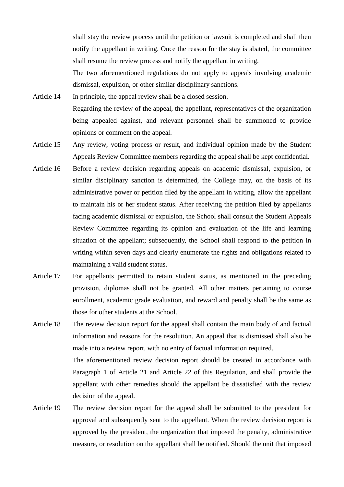shall stay the review process until the petition or lawsuit is completed and shall then notify the appellant in writing. Once the reason for the stay is abated, the committee shall resume the review process and notify the appellant in writing.

The two aforementioned regulations do not apply to appeals involving academic dismissal, expulsion, or other similar disciplinary sanctions.

- Article 14 In principle, the appeal review shall be a closed session. Regarding the review of the appeal, the appellant, representatives of the organization being appealed against, and relevant personnel shall be summoned to provide opinions or comment on the appeal.
- Article 15 Any review, voting process or result, and individual opinion made by the Student Appeals Review Committee members regarding the appeal shall be kept confidential.
- Article 16 Before a review decision regarding appeals on academic dismissal, expulsion, or similar disciplinary sanction is determined, the College may, on the basis of its administrative power or petition filed by the appellant in writing, allow the appellant to maintain his or her student status. After receiving the petition filed by appellants facing academic dismissal or expulsion, the School shall consult the Student Appeals Review Committee regarding its opinion and evaluation of the life and learning situation of the appellant; subsequently, the School shall respond to the petition in writing within seven days and clearly enumerate the rights and obligations related to maintaining a valid student status.
- Article 17 For appellants permitted to retain student status, as mentioned in the preceding provision, diplomas shall not be granted. All other matters pertaining to course enrollment, academic grade evaluation, and reward and penalty shall be the same as those for other students at the School.
- Article 18 The review decision report for the appeal shall contain the main body of and factual information and reasons for the resolution. An appeal that is dismissed shall also be made into a review report, with no entry of factual information required. The aforementioned review decision report should be created in accordance with Paragraph 1 of Article 21 and Article 22 of this Regulation, and shall provide the appellant with other remedies should the appellant be dissatisfied with the review decision of the appeal.
- Article 19 The review decision report for the appeal shall be submitted to the president for approval and subsequently sent to the appellant. When the review decision report is approved by the president, the organization that imposed the penalty, administrative measure, or resolution on the appellant shall be notified. Should the unit that imposed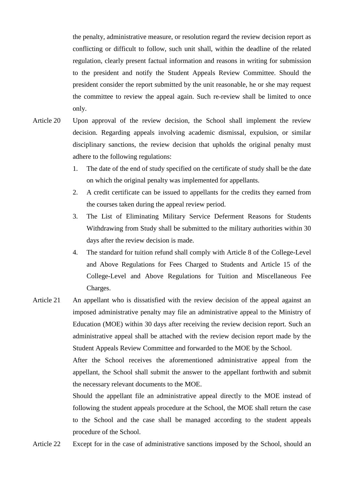the penalty, administrative measure, or resolution regard the review decision report as conflicting or difficult to follow, such unit shall, within the deadline of the related regulation, clearly present factual information and reasons in writing for submission to the president and notify the Student Appeals Review Committee. Should the president consider the report submitted by the unit reasonable, he or she may request the committee to review the appeal again. Such re-review shall be limited to once only.

- Article 20 Upon approval of the review decision, the School shall implement the review decision. Regarding appeals involving academic dismissal, expulsion, or similar disciplinary sanctions, the review decision that upholds the original penalty must adhere to the following regulations:
	- 1. The date of the end of study specified on the certificate of study shall be the date on which the original penalty was implemented for appellants.
	- 2. A credit certificate can be issued to appellants for the credits they earned from the courses taken during the appeal review period.
	- 3. The List of Eliminating Military Service Deferment Reasons for Students Withdrawing from Study shall be submitted to the military authorities within 30 days after the review decision is made.
	- 4. The standard for tuition refund shall comply with Article 8 of the College-Level and Above Regulations for Fees Charged to Students and Article 15 of the College-Level and Above Regulations for Tuition and Miscellaneous Fee Charges.
- Article 21 An appellant who is dissatisfied with the review decision of the appeal against an imposed administrative penalty may file an administrative appeal to the Ministry of Education (MOE) within 30 days after receiving the review decision report. Such an administrative appeal shall be attached with the review decision report made by the Student Appeals Review Committee and forwarded to the MOE by the School.

After the School receives the aforementioned administrative appeal from the appellant, the School shall submit the answer to the appellant forthwith and submit the necessary relevant documents to the MOE.

Should the appellant file an administrative appeal directly to the MOE instead of following the student appeals procedure at the School, the MOE shall return the case to the School and the case shall be managed according to the student appeals procedure of the School.

Article 22 Except for in the case of administrative sanctions imposed by the School, should an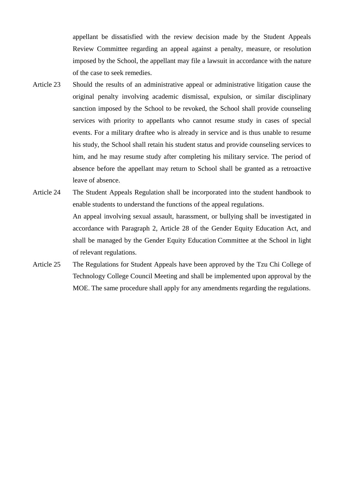appellant be dissatisfied with the review decision made by the Student Appeals Review Committee regarding an appeal against a penalty, measure, or resolution imposed by the School, the appellant may file a lawsuit in accordance with the nature of the case to seek remedies.

- Article 23 Should the results of an administrative appeal or administrative litigation cause the original penalty involving academic dismissal, expulsion, or similar disciplinary sanction imposed by the School to be revoked, the School shall provide counseling services with priority to appellants who cannot resume study in cases of special events. For a military draftee who is already in service and is thus unable to resume his study, the School shall retain his student status and provide counseling services to him, and he may resume study after completing his military service. The period of absence before the appellant may return to School shall be granted as a retroactive leave of absence.
- Article 24 The Student Appeals Regulation shall be incorporated into the student handbook to enable students to understand the functions of the appeal regulations. An appeal involving sexual assault, harassment, or bullying shall be investigated in accordance with Paragraph 2, Article 28 of the Gender Equity Education Act, and shall be managed by the Gender Equity Education Committee at the School in light of relevant regulations.
- Article 25 The Regulations for Student Appeals have been approved by the Tzu Chi College of Technology College Council Meeting and shall be implemented upon approval by the MOE. The same procedure shall apply for any amendments regarding the regulations.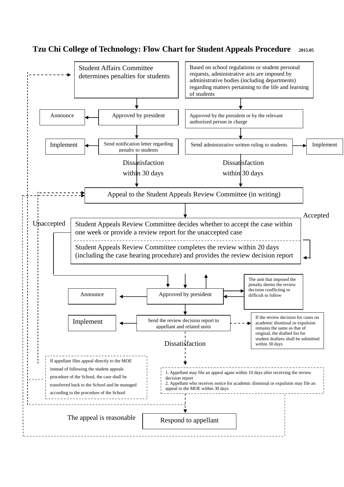## **Tzu Chi College of Technology: Flow Chart for Student Appeals Procedure 2015.05**